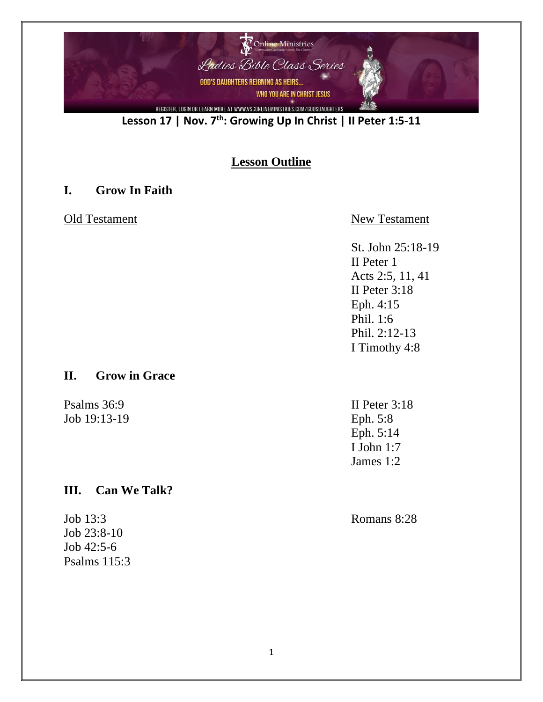

**Lesson 17 | Nov. 7th : Growing Up In Christ | II Peter 1:5-11**

## **Lesson Outline**

#### **I. Grow In Faith**

#### Old Testament New Testament

St. John 25:18-19 II Peter 1 Acts 2:5, 11, 41 II Peter 3:18 Eph. 4:15 Phil. 1:6 Phil. 2:12-13 I Timothy 4:8

## **II. Grow in Grace**

Psalms 36:9 II Peter 3:18 Job 19:13-19 Eph. 5:8

## **III. Can We Talk?**

Job 13:3 Romans 8:28 Job 23:8-10 Job 42:5-6 Psalms 115:3

Eph. 5:14 I John 1:7 James 1:2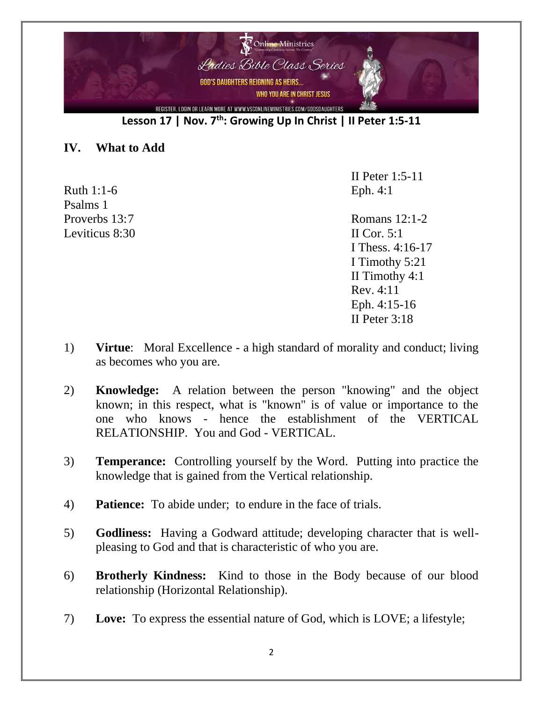

**Lesson 17 | Nov. 7th : Growing Up In Christ | II Peter 1:5-11**

#### **IV. What to Add**

Ruth 1:1-6 Eph. 4:1 Psalms 1 Leviticus  $8:30$  II Cor. 5:1

II Peter 1:5-11

Proverbs 13:7 Romans 12:1-2 I Thess. 4:16-17 I Timothy 5:21 II Timothy 4:1 Rev. 4:11 Eph. 4:15-16 II Peter 3:18

- 1) **Virtue**: Moral Excellence a high standard of morality and conduct; living as becomes who you are.
- 2) **Knowledge:** A relation between the person "knowing" and the object known; in this respect, what is "known" is of value or importance to the one who knows - hence the establishment of the VERTICAL RELATIONSHIP. You and God - VERTICAL.
- 3) **Temperance:** Controlling yourself by the Word. Putting into practice the knowledge that is gained from the Vertical relationship.
- 4) **Patience:** To abide under; to endure in the face of trials.
- 5) **Godliness:** Having a Godward attitude; developing character that is wellpleasing to God and that is characteristic of who you are.
- 6) **Brotherly Kindness:** Kind to those in the Body because of our blood relationship (Horizontal Relationship).
- 7) **Love:** To express the essential nature of God, which is LOVE; a lifestyle;